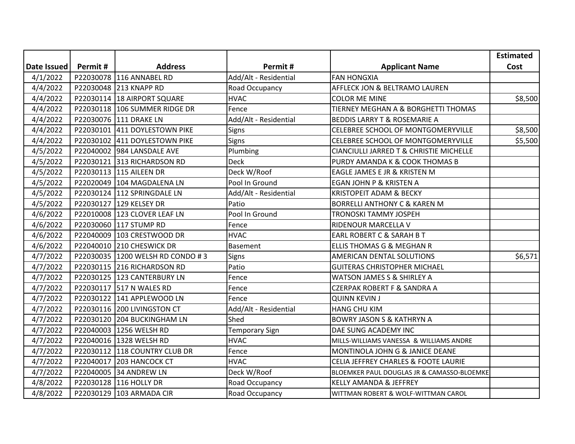|             |           |                               |                       |                                            | <b>Estimated</b> |
|-------------|-----------|-------------------------------|-----------------------|--------------------------------------------|------------------|
| Date Issued | Permit#   | <b>Address</b>                | Permit#               | <b>Applicant Name</b>                      | Cost             |
| 4/1/2022    |           | P22030078 116 ANNABEL RD      | Add/Alt - Residential | <b>FAN HONGXIA</b>                         |                  |
| 4/4/2022    | P22030048 | 213 KNAPP RD                  | Road Occupancy        | AFFLECK JON & BELTRAMO LAUREN              |                  |
| 4/4/2022    |           | P22030114 18 AIRPORT SQUARE   | <b>HVAC</b>           | <b>COLOR ME MINE</b>                       | \$8,500          |
| 4/4/2022    |           | P22030118 106 SUMMER RIDGE DR | Fence                 | TIERNEY MEGHAN A & BORGHETTI THOMAS        |                  |
| 4/4/2022    |           | P22030076 111 DRAKE LN        | Add/Alt - Residential | <b>BEDDIS LARRY T &amp; ROSEMARIE A</b>    |                  |
| 4/4/2022    |           | P22030101 411 DOYLESTOWN PIKE | Signs                 | CELEBREE SCHOOL OF MONTGOMERYVILLE         | \$8,500          |
| 4/4/2022    |           | P22030102 411 DOYLESTOWN PIKE | Signs                 | CELEBREE SCHOOL OF MONTGOMERYVILLE         | \$5,500          |
| 4/5/2022    |           | P22040002 984 LANSDALE AVE    | Plumbing              | CIANCIULLI JARRED T & CHRISTIE MICHELLE    |                  |
| 4/5/2022    |           | P22030121 313 RICHARDSON RD   | <b>Deck</b>           | PURDY AMANDA K & COOK THOMAS B             |                  |
| 4/5/2022    |           | P22030113 115 AILEEN DR       | Deck W/Roof           | EAGLE JAMES E JR & KRISTEN M               |                  |
| 4/5/2022    |           | P22020049 104 MAGDALENA LN    | Pool In Ground        | EGAN JOHN P & KRISTEN A                    |                  |
| 4/5/2022    |           | P22030124 112 SPRINGDALE LN   | Add/Alt - Residential | <b>KRISTOPEIT ADAM &amp; BECKY</b>         |                  |
| 4/5/2022    | P22030127 | 129 KELSEY DR                 | Patio                 | <b>BORRELLI ANTHONY C &amp; KAREN M</b>    |                  |
| 4/6/2022    |           | P22010008 123 CLOVER LEAF LN  | Pool In Ground        | <b>TRONOSKI TAMMY JOSPEH</b>               |                  |
| 4/6/2022    |           | P22030060 117 STUMP RD        | Fence                 | RIDENOUR MARCELLA V                        |                  |
| 4/6/2022    |           | P22040009 103 CRESTWOOD DR    | <b>HVAC</b>           | EARL ROBERT C & SARAH B T                  |                  |
| 4/6/2022    | P22040010 | 210 CHESWICK DR               | <b>Basement</b>       | ELLIS THOMAS G & MEGHAN R                  |                  |
| 4/7/2022    | P22030035 | 1200 WELSH RD CONDO #3        | Signs                 | AMERICAN DENTAL SOLUTIONS                  | \$6,571          |
| 4/7/2022    |           | P22030115 216 RICHARDSON RD   | Patio                 | <b>GUITERAS CHRISTOPHER MICHAEL</b>        |                  |
| 4/7/2022    |           | P22030125 123 CANTERBURY LN   | Fence                 | <b>WATSON JAMES S &amp; SHIRLEY A</b>      |                  |
| 4/7/2022    |           | P22030117 517 N WALES RD      | Fence                 | <b>CZERPAK ROBERT F &amp; SANDRA A</b>     |                  |
| 4/7/2022    |           | P22030122 141 APPLEWOOD LN    | Fence                 | <b>QUINN KEVIN J</b>                       |                  |
| 4/7/2022    |           | P22030116 200 LIVINGSTON CT   | Add/Alt - Residential | <b>HANG CHU KIM</b>                        |                  |
| 4/7/2022    |           | P22030120 204 BUCKINGHAM LN   | Shed                  | <b>BOWRY JASON S &amp; KATHRYN A</b>       |                  |
| 4/7/2022    |           | P22040003 1256 WELSH RD       | <b>Temporary Sign</b> | DAE SUNG ACADEMY INC                       |                  |
| 4/7/2022    | P22040016 | 1328 WELSH RD                 | <b>HVAC</b>           | MILLS-WILLIAMS VANESSA & WILLIAMS ANDRE    |                  |
| 4/7/2022    |           | P22030112 118 COUNTRY CLUB DR | Fence                 | MONTINOLA JOHN G & JANICE DEANE            |                  |
| 4/7/2022    |           | P22040017 203 HANCOCK CT      | <b>HVAC</b>           | CELIA JEFFREY CHARLES & FOOTE LAURIE       |                  |
| 4/7/2022    |           | P22040005 34 ANDREW LN        | Deck W/Roof           | BLOEMKER PAUL DOUGLAS JR & CAMASSO-BLOEMKE |                  |
| 4/8/2022    |           | P22030128 116 HOLLY DR        | Road Occupancy        | <b>KELLY AMANDA &amp; JEFFREY</b>          |                  |
| 4/8/2022    |           | P22030129 103 ARMADA CIR      | Road Occupancy        | WITTMAN ROBERT & WOLF-WITTMAN CAROL        |                  |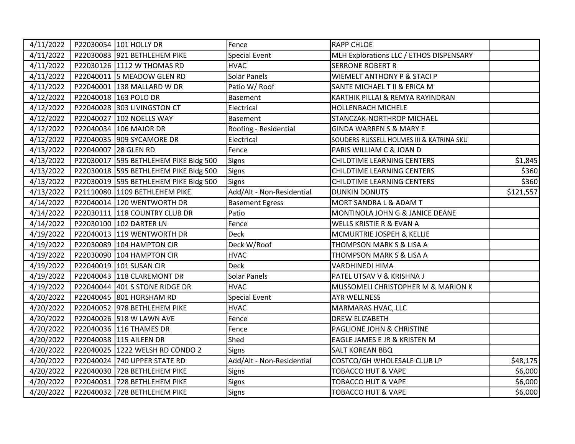| 4/11/2022 |                                  | P22030054 101 HOLLY DR                  | Fence                     | <b>RAPP CHLOE</b>                        |           |
|-----------|----------------------------------|-----------------------------------------|---------------------------|------------------------------------------|-----------|
| 4/11/2022 |                                  | P22030083 921 BETHLEHEM PIKE            | <b>Special Event</b>      | MLH Explorations LLC / ETHOS DISPENSARY  |           |
| 4/11/2022 |                                  | P22030126 1112 W THOMAS RD              | <b>HVAC</b>               | <b>SERRONE ROBERT R</b>                  |           |
| 4/11/2022 |                                  | P22040011 5 MEADOW GLEN RD              | <b>Solar Panels</b>       | WIEMELT ANTHONY P & STACI P              |           |
| 4/11/2022 |                                  | P22040001 138 MALLARD W DR              | Patio W/Roof              | SANTE MICHAEL T II & ERICA M             |           |
| 4/12/2022 |                                  | P22040018 163 POLO DR                   | <b>Basement</b>           | KARTHIK PILLAI & REMYA RAYINDRAN         |           |
| 4/12/2022 |                                  | P22040028 303 LIVINGSTON CT             | Electrical                | <b>HOLLENBACH MICHELE</b>                |           |
| 4/12/2022 |                                  | P22040027 102 NOELLS WAY                | <b>Basement</b>           | STANCZAK-NORTHROP MICHAEL                |           |
| 4/12/2022 |                                  | P22040034 106 MAJOR DR                  | Roofing - Residential     | <b>GINDA WARREN S &amp; MARY E</b>       |           |
| 4/12/2022 |                                  | P22040035 909 SYCAMORE DR               | Electrical                | SOUDERS RUSSELL HOLMES III & KATRINA SKU |           |
|           | 4/13/2022   P22040007 28 GLEN RD |                                         | Fence                     | PARIS WILLIAM C & JOAN D                 |           |
| 4/13/2022 |                                  | P22030017 595 BETHLEHEM PIKE Bldg 500   | <b>Signs</b>              | <b>CHILDTIME LEARNING CENTERS</b>        | \$1,845   |
| 4/13/2022 |                                  | P22030018 595 BETHLEHEM PIKE Bldg 500   | Signs                     | <b>CHILDTIME LEARNING CENTERS</b>        | \$360     |
| 4/13/2022 |                                  | P22030019   595 BETHLEHEM PIKE Bldg 500 | <b>Signs</b>              | <b>CHILDTIME LEARNING CENTERS</b>        | \$360     |
| 4/13/2022 |                                  | P21110080 1109 BETHLEHEM PIKE           | Add/Alt - Non-Residential | <b>DUNKIN DONUTS</b>                     | \$121,557 |
| 4/14/2022 |                                  | P22040014 120 WENTWORTH DR              | <b>Basement Egress</b>    | MORT SANDRA L & ADAM T                   |           |
| 4/14/2022 |                                  | P22030111 118 COUNTRY CLUB DR           | Patio                     | MONTINOLA JOHN G & JANICE DEANE          |           |
| 4/14/2022 |                                  | P22030100 102 DARTER LN                 | Fence                     | WELLS KRISTIE R & EVAN A                 |           |
| 4/19/2022 |                                  | P22040013 119 WENTWORTH DR              | <b>Deck</b>               | MCMURTRIE JOSPEH & KELLIE                |           |
| 4/19/2022 |                                  | P22030089 104 HAMPTON CIR               | Deck W/Roof               | THOMPSON MARK S & LISA A                 |           |
| 4/19/2022 |                                  | P22030090 104 HAMPTON CIR               | <b>HVAC</b>               | THOMPSON MARK S & LISA A                 |           |
| 4/19/2022 |                                  | P22040019 101 SUSAN CIR                 | <b>Deck</b>               | <b>VARDHINEDI HIMA</b>                   |           |
| 4/19/2022 |                                  | P22040043 118 CLAREMONT DR              | <b>Solar Panels</b>       | PATEL UTSAV V & KRISHNA J                |           |
| 4/19/2022 |                                  | P22040044 401 S STONE RIDGE DR          | <b>HVAC</b>               | MUSSOMELI CHRISTOPHER M & MARION K       |           |
|           |                                  | 4/20/2022   P22040045  801 HORSHAM RD   | <b>Special Event</b>      | <b>AYR WELLNESS</b>                      |           |
| 4/20/2022 |                                  | P22040052 978 BETHLEHEM PIKE            | <b>HVAC</b>               | MARMARAS HVAC, LLC                       |           |
| 4/20/2022 |                                  | P22040026 518 W LAWN AVE                | Fence                     | <b>DREW ELIZABETH</b>                    |           |
| 4/20/2022 |                                  | P22040036 116 THAMES DR                 | Fence                     | PAGLIONE JOHN & CHRISTINE                |           |
| 4/20/2022 |                                  | P22040038 115 AILEEN DR                 | Shed                      | EAGLE JAMES E JR & KRISTEN M             |           |
| 4/20/2022 |                                  | P22040025 1222 WELSH RD CONDO 2         | Signs                     | <b>SALT KOREAN BBQ</b>                   |           |
| 4/20/2022 |                                  | P22040024 740 UPPER STATE RD            | Add/Alt - Non-Residential | COSTCO/GH WHOLESALE CLUB LP              | \$48,175  |
| 4/20/2022 |                                  | P22040030 728 BETHLEHEM PIKE            | Signs                     | <b>TOBACCO HUT &amp; VAPE</b>            | \$6,000   |
| 4/20/2022 |                                  | P22040031 728 BETHLEHEM PIKE            | <b>Signs</b>              | TOBACCO HUT & VAPE                       | \$6,000   |
| 4/20/2022 |                                  | P22040032 728 BETHLEHEM PIKE            | Signs                     | <b>TOBACCO HUT &amp; VAPE</b>            | \$6,000   |